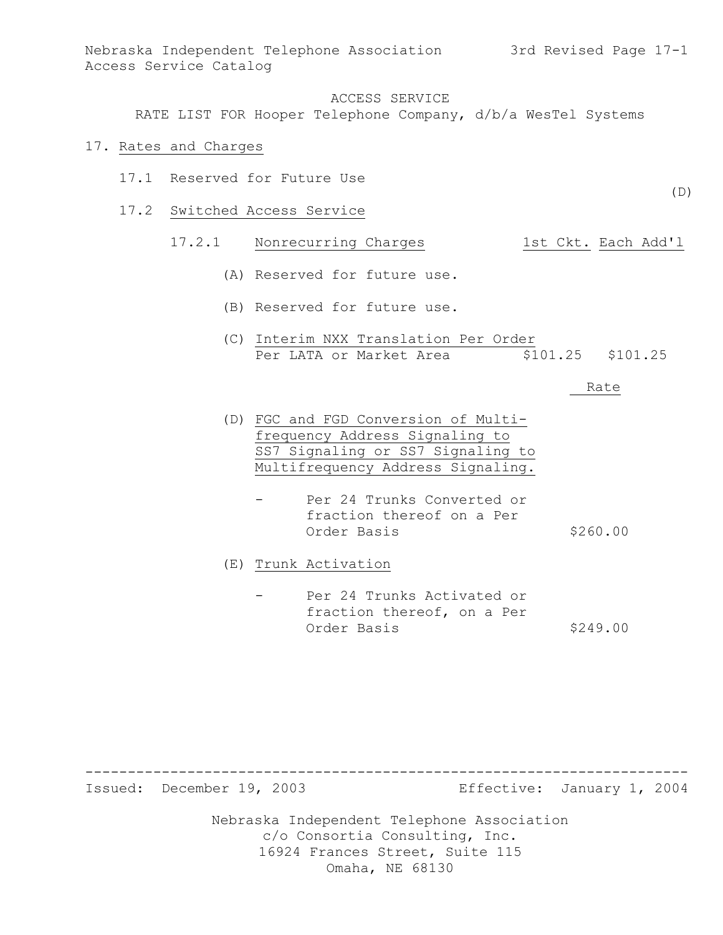RATE LIST FOR Hooper Telephone Company, d/b/a WesTel Systems

#### 17. Rates and Charges

- 17.1 Reserved for Future Use
- 17.2 Switched Access Service

# 17.2.1 Nonrecurring Charges 1st Ckt. Each Add'l

- (A) Reserved for future use.
- (B) Reserved for future use.
- (C) Interim NXX Translation Per Order Per LATA or Market Area  $$101.25$  \$101.25

#### Rate

(D)

- (D) FGC and FGD Conversion of Multifrequency Address Signaling to SS7 Signaling or SS7 Signaling to Multifrequency Address Signaling.
	- Per 24 Trunks Converted or fraction thereof on a Per Order Basis \$260.00

(E) Trunk Activation

Per 24 Trunks Activated or fraction thereof, on a Per Order Basis \$249.00

----------------------------------------------------------------------- Issued: December 19, 2003 Effective: January 1, 2004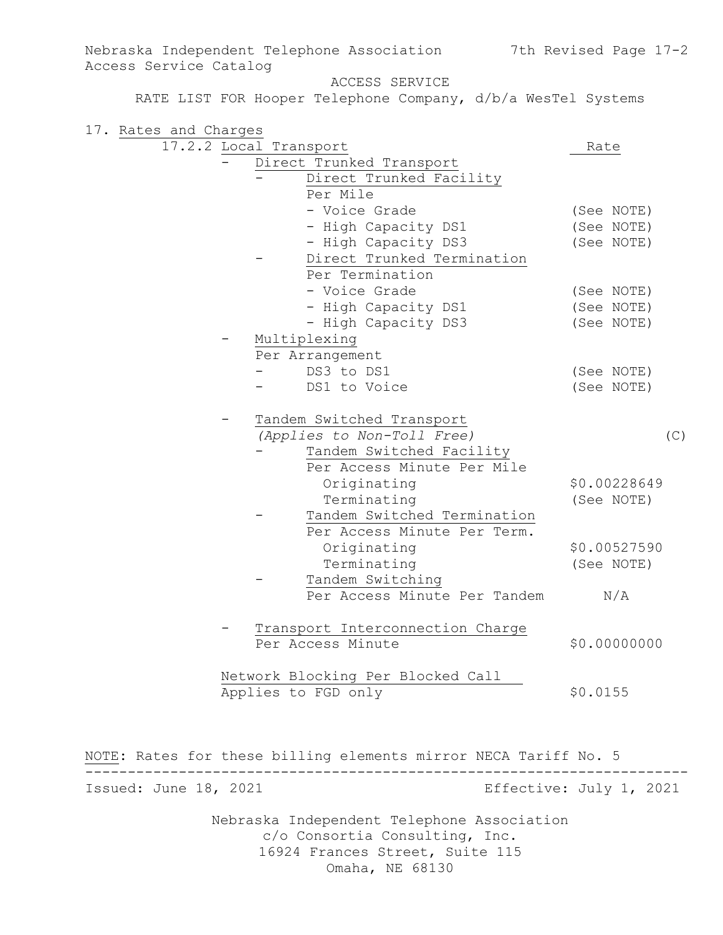Nebraska Independent Telephone Association 7th Revised Page 17-2 Access Service Catalog ACCESS SERVICE RATE LIST FOR Hooper Telephone Company, d/b/a WesTel Systems 17. Rates and Charges 17.2.2 Local Transport Rate - Direct Trunked Transport - Direct Trunked Facility Per Mile - Voice Grade (See NOTE) - High Capacity DS1 (See NOTE) - High Capacity DS3 (See NOTE) Direct Trunked Termination Per Termination - Voice Grade (See NOTE) - High Capacity DS1 (See NOTE) - High Capacity DS3 (See NOTE) Multiplexing Per Arrangement - DS3 to DS1 (See NOTE) DS1 to Voice (See NOTE) - Tandem Switched Transport *(Applies to Non-Toll Free)* (C) Tandem Switched Facility Per Access Minute Per Mile Originating \$0.00228649 Terminating (See NOTE) Tandem Switched Termination Per Access Minute Per Term. Originating \$0.00527590 Terminating (See NOTE) Tandem Switching Per Access Minute Per Tandem N/A - Transport Interconnection Charge Per Access Minute  $$0.00000000$ Network Blocking Per Blocked Call Applies to FGD only \$0.0155 NOTE**:** Rates for these billing elements mirror NECA Tariff No. 5 -----------------------------------------------------------------------

Issued: June 18, 2021 Effective: July 1, 2021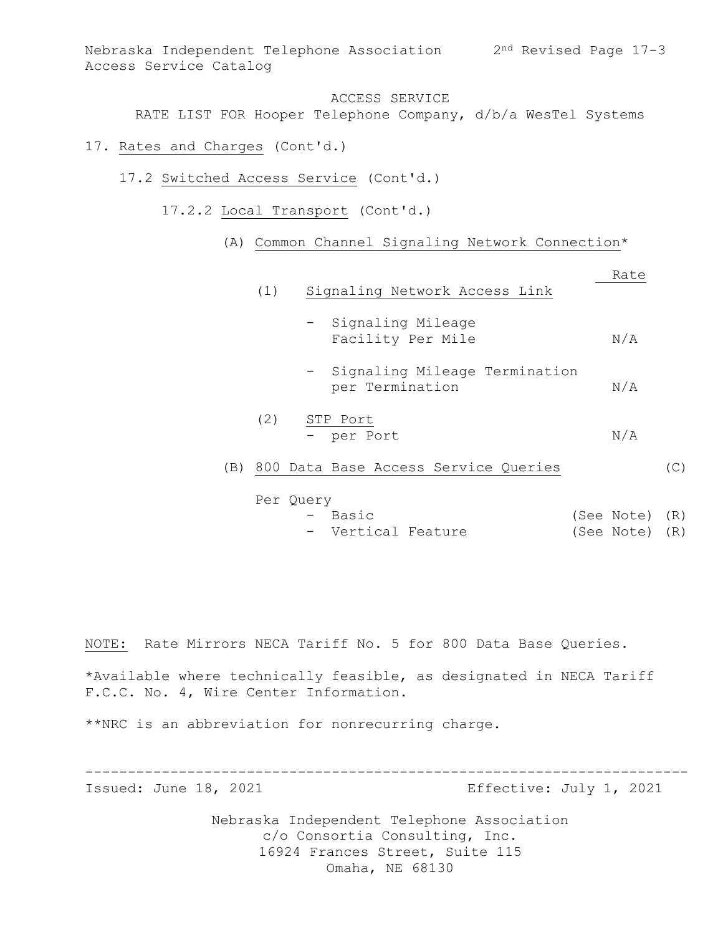RATE LIST FOR Hooper Telephone Company, d/b/a WesTel Systems

- 17. Rates and Charges (Cont'd.)
	- 17.2 Switched Access Service (Cont'd.)
		- 17.2.2 Local Transport (Cont'd.)
			- (A) Common Channel Signaling Network Connection\*

|     |     |                                                    | Rate         |
|-----|-----|----------------------------------------------------|--------------|
|     | (1) | Signaling Network Access Link                      |              |
|     |     | - Signaling Mileage<br>Facility Per Mile           | N/A          |
|     |     | - Signaling Mileage Termination<br>per Termination | N/A          |
|     | (2) | STP Port<br>- per Port                             | N/A          |
| (B) |     | 800 Data Base Access Service Queries               | $\mathbb{C}$ |
|     |     |                                                    |              |

- Basic (See Note) (R) - Vertical Feature (See Note) (R)

NOTE: Rate Mirrors NECA Tariff No. 5 for 800 Data Base Queries.

\*Available where technically feasible, as designated in NECA Tariff F.C.C. No. 4, Wire Center Information.

\*\*NRC is an abbreviation for nonrecurring charge.

Per Query

----------------------------------------------------------------------- Issued: June 18, 2021 Effective: July 1, 2021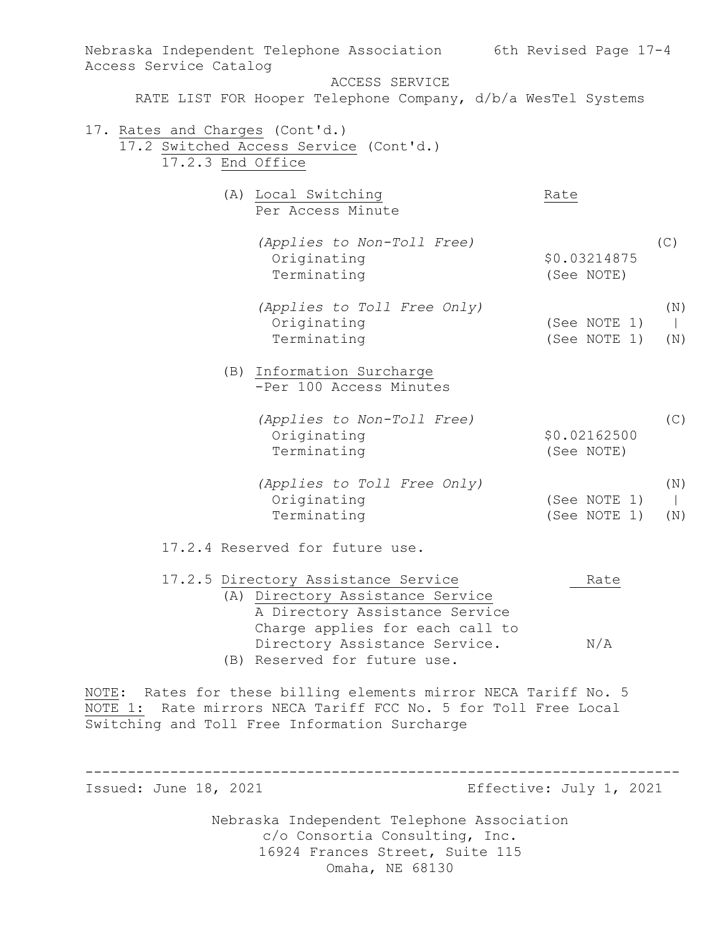| Nebraska Independent Telephone Association                      | 6th Revised Page 17-4   |
|-----------------------------------------------------------------|-------------------------|
| Access Service Catalog                                          |                         |
| ACCESS SERVICE                                                  |                         |
| RATE LIST FOR Hooper Telephone Company, d/b/a WesTel Systems    |                         |
| 17. Rates and Charges (Cont'd.)                                 |                         |
| 17.2 Switched Access Service (Cont'd.)                          |                         |
| 17.2.3 End Office                                               |                         |
|                                                                 |                         |
| (A) Local Switching                                             | Rate                    |
| Per Access Minute                                               |                         |
|                                                                 |                         |
| (Applies to Non-Toll Free)                                      | (C)                     |
| Originating                                                     | \$0.03214875            |
| Terminating                                                     | (See NOTE)              |
|                                                                 | (N)                     |
| (Applies to Toll Free Only)<br>Originating                      | (See NOTE 1)<br>$\perp$ |
| Terminating                                                     | (See NOTE 1)<br>(N)     |
|                                                                 |                         |
| (B) Information Surcharge                                       |                         |
| -Per 100 Access Minutes                                         |                         |
|                                                                 |                         |
| (Applies to Non-Toll Free)                                      | (C)                     |
| Originating                                                     | \$0.02162500            |
| Terminating                                                     | (See NOTE)              |
| (Applies to Toll Free Only)                                     | (N)                     |
| Originating                                                     | (See NOTE 1)<br>$\perp$ |
| Terminating                                                     | (See NOTE 1)<br>(N)     |
|                                                                 |                         |
| 17.2.4 Reserved for future use.                                 |                         |
| 17.2.5 Directory Assistance Service                             | Rate                    |
| (A) Directory Assistance Service                                |                         |
| A Directory Assistance Service                                  |                         |
| Charge applies for each call to                                 |                         |
| Directory Assistance Service.                                   | N/A                     |
| (B) Reserved for future use.                                    |                         |
|                                                                 |                         |
| NOTE: Rates for these billing elements mirror NECA Tariff No. 5 |                         |
| NOTE 1: Rate mirrors NECA Tariff FCC No. 5 for Toll Free Local  |                         |
| Switching and Toll Free Information Surcharge                   |                         |
|                                                                 |                         |
|                                                                 |                         |
| Issued: June 18, 2021                                           | Effective: July 1, 2021 |
|                                                                 |                         |
| Nebraska Independent Telephone Association                      |                         |
| c/o Consortia Consulting, Inc.                                  |                         |
| 16924 Frances Street, Suite 115                                 |                         |
| Omaha, NE 68130                                                 |                         |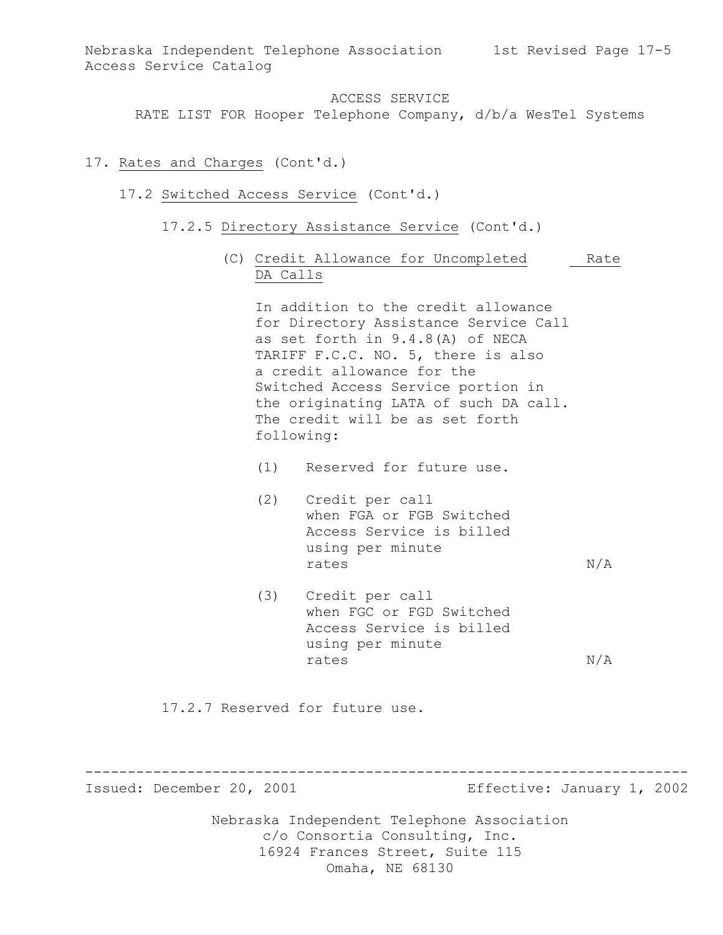RATE LIST FOR Hooper Telephone Company, d/b/a WesTel Systems

### 17. Rates and Charges (Cont'd.)

- 17.2 Switched Access Service (Cont'd.)
	- 17.2.5 Directory Assistance Service (Cont'd.)
		- (C) Credit Allowance for Uncompleted Rate DA Calls

In addition to the credit allowance for Directory Assistance Service Call as set forth in 9.4.8(A) of NECA TARIFF F.C.C. NO. 5, there is also a credit allowance for the Switched Access Service portion in the originating LATA of such DA call. The credit will be as set forth following:

- (1) Reserved for future use.
- (2) Credit per call when FGA or FGB Switched Access Service is billed using per minute rates  $N/A$
- (3) Credit per call when FGC or FGD Switched Access Service is billed using per minute rates  $N/A$

17.2.7 Reserved for future use.

----------------------------------------------------------------------- Issued: December 20, 2001 Effective: January 1, 2002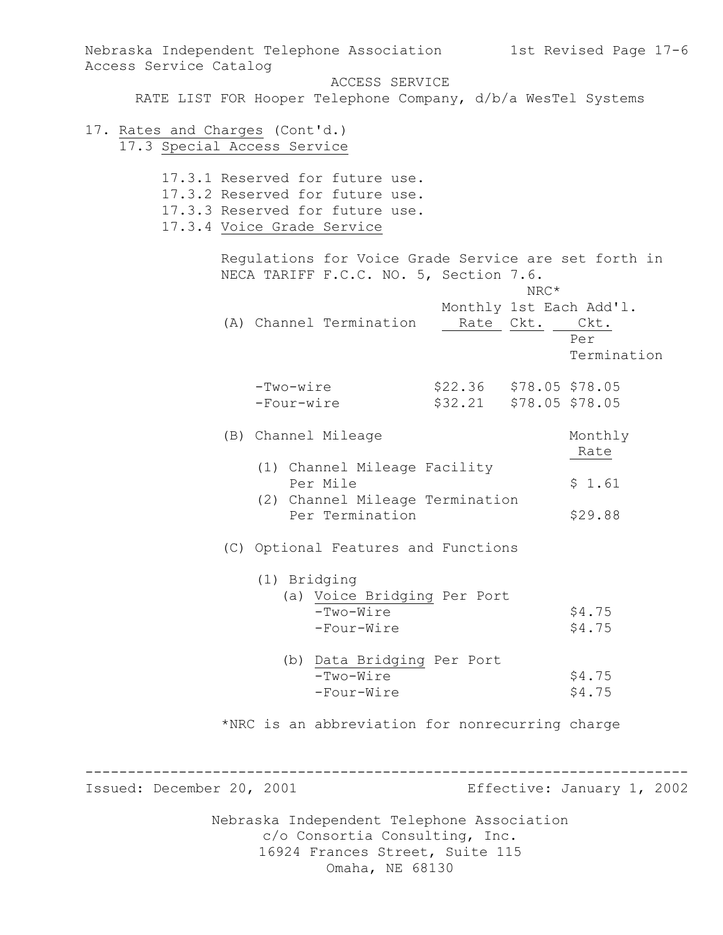Nebraska Independent Telephone Association c/o Consortia Consulting, Inc. 16924 Frances Street, Suite 115 Nebraska Independent Telephone Association 1st Revised Page 17-6 Access Service Catalog ACCESS SERVICE RATE LIST FOR Hooper Telephone Company, d/b/a WesTel Systems 17. Rates and Charges (Cont'd.) 17.3 Special Access Service 17.3.1 Reserved for future use. 17.3.2 Reserved for future use. 17.3.3 Reserved for future use. 17.3.4 Voice Grade Service Regulations for Voice Grade Service are set forth in NECA TARIFF F.C.C. NO. 5, Section 7.6. NRC\* Monthly 1st Each Add'l. (A) Channel Termination Rate Ckt. Ckt. Per Termination -Two-wire \$22.36 \$78.05 \$78.05 -Four-wire \$32.21 \$78.05 \$78.05 (B) Channel Mileage Monthly Rate (1) Channel Mileage Facility Per Mile  $$1.61$  (2) Channel Mileage Termination Per Termination  $$29.88$ (C) Optional Features and Functions (1) Bridging (a) Voice Bridging Per Port  $-Two-Wire$  \$4.75  $-Four-Wire$  \$4.75 (b) Data Bridging Per Port -Two-Wire \$4.75 -Four-Wire \$4.75 \*NRC is an abbreviation for nonrecurring charge ----------------------------------------------------------------------- Issued: December 20, 2001 Effective: January 1, 2002

Omaha, NE 68130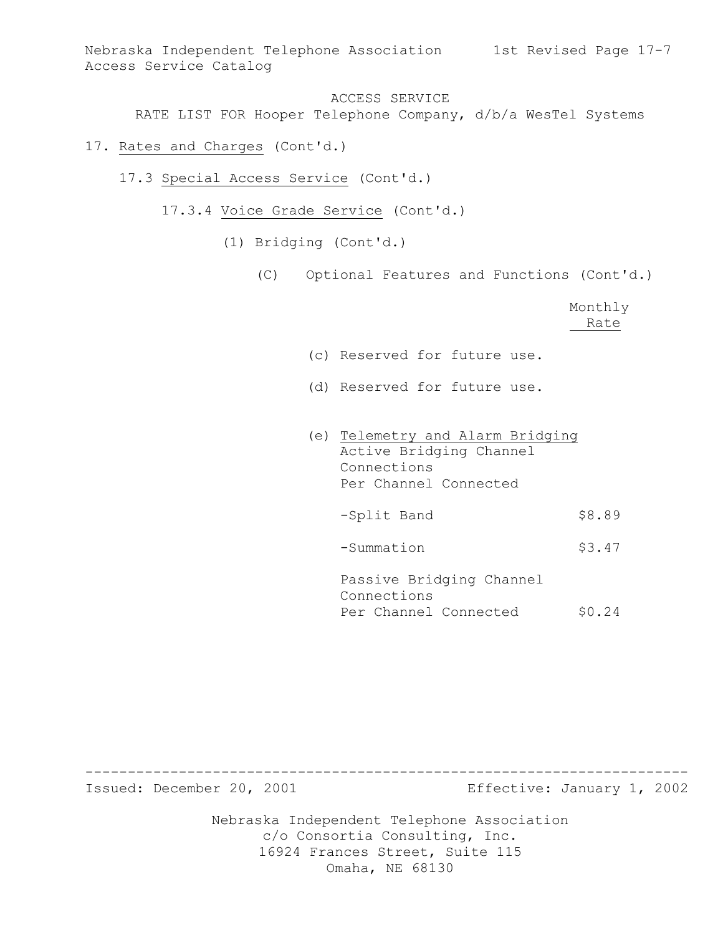Nebraska Independent Telephone Association 1st Revised Page 17-7 Access Service Catalog

ACCESS SERVICE

RATE LIST FOR Hooper Telephone Company, d/b/a WesTel Systems

- 17. Rates and Charges (Cont'd.)
	- 17.3 Special Access Service (Cont'd.)
		- 17.3.4 Voice Grade Service (Cont'd.)
			- (1) Bridging (Cont'd.)
				- (C) Optional Features and Functions (Cont'd.)

Monthly Rate

- (c) Reserved for future use.
- (d) Reserved for future use.
- (e) Telemetry and Alarm Bridging Active Bridging Channel Connections Per Channel Connected -Split Band \$8.89 -Summation \$3.47 Passive Bridging Channel Connections

Per Channel Connected \$0.24

----------------------------------------------------------------------- Issued: December 20, 2001 Effective: January 1, 2002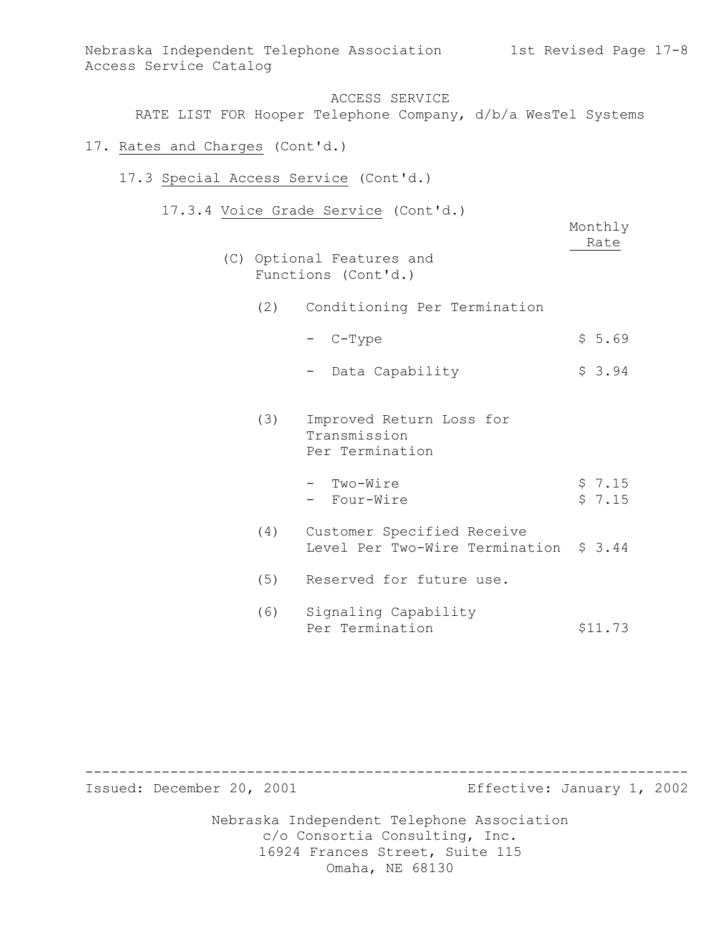ACCESS SERVICE RATE LIST FOR Hooper Telephone Company, d/b/a WesTel Systems

17. Rates and Charges (Cont'd.)

 $(C)$ 

- 17.3 Special Access Service (Cont'd.)
	- 17.3.4 Voice Grade Service (Cont'd.)

|     | Optional Features and<br>Functions (Cont'd.)                 | Monthly<br>Rate  |
|-----|--------------------------------------------------------------|------------------|
|     | (2) Conditioning Per Termination                             |                  |
|     | - C-Type                                                     | \$5.69           |
|     | - Data Capability                                            | \$3.94           |
| (3) | Improved Return Loss for<br>Transmission<br>Per Termination  |                  |
|     | - Two-Wire<br>- Four-Wire                                    | \$7.15<br>\$7.15 |
| (4) | Customer Specified Receive<br>Level Per Two-Wire Termination | \$3.44           |
| (5) | Reserved for future use.                                     |                  |
| (6) | Signaling Capability<br>Per Termination                      | \$11.73          |

Nebraska Independent Telephone Association c/o Consortia Consulting, Inc. 16924 Frances Street, Suite 115 Omaha, NE 68130 ----------------------------------------------------------------------- Issued: December 20, 2001 Effective: January 1, 2002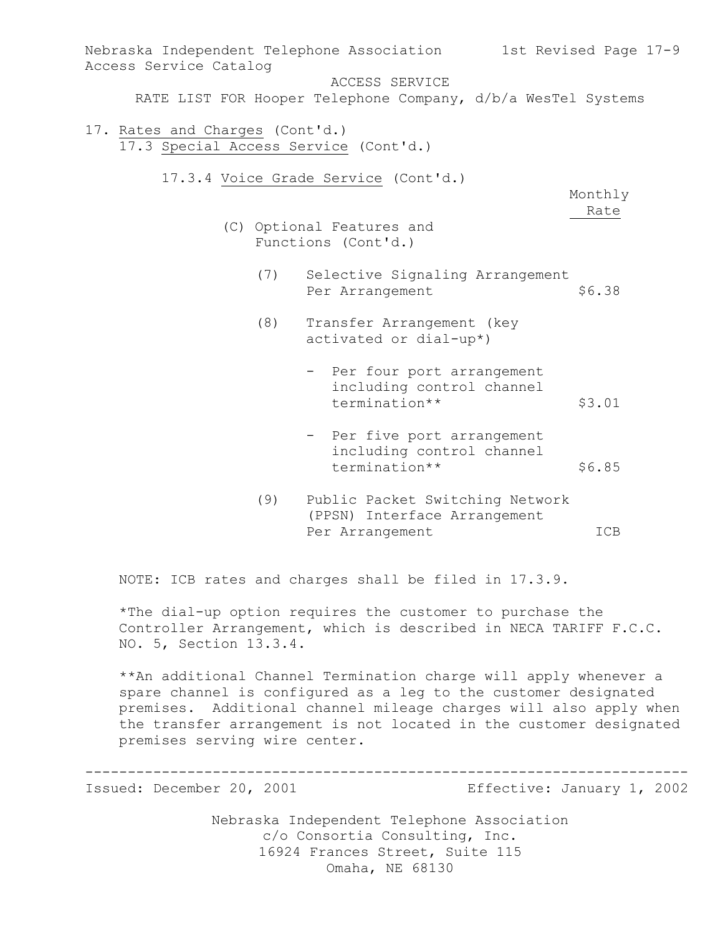| Access Service Catalog                                                   |     | Nebraska Independent Telephone Association 1st Revised Page 17-9                   |                 |
|--------------------------------------------------------------------------|-----|------------------------------------------------------------------------------------|-----------------|
|                                                                          |     | ACCESS SERVICE                                                                     |                 |
|                                                                          |     | RATE LIST FOR Hooper Telephone Company, d/b/a WesTel Systems                       |                 |
| 17. Rates and Charges (Cont'd.)<br>17.3 Special Access Service (Cont'd.) |     |                                                                                    |                 |
|                                                                          |     | 17.3.4 Voice Grade Service (Cont'd.)                                               | Monthly<br>Rate |
|                                                                          |     | (C) Optional Features and<br>Functions (Cont'd.)                                   |                 |
|                                                                          | (7) | Selective Signaling Arrangement<br>Per Arrangement                                 | \$6.38          |
|                                                                          | (8) | Transfer Arrangement (key<br>activated or dial-up*)                                |                 |
|                                                                          |     | - Per four port arrangement<br>including control channel<br>termination**          | \$3.01          |
|                                                                          |     | - Per five port arrangement<br>including control channel<br>termination**          | \$6.85          |
|                                                                          | (9) | Public Packet Switching Network<br>(PPSN) Interface Arrangement<br>Per Arrangement | ICB             |

NOTE: ICB rates and charges shall be filed in 17.3.9.

\*The dial-up option requires the customer to purchase the Controller Arrangement, which is described in NECA TARIFF F.C.C. NO. 5, Section 13.3.4.

\*\*An additional Channel Termination charge will apply whenever a spare channel is configured as a leg to the customer designated premises. Additional channel mileage charges will also apply when the transfer arrangement is not located in the customer designated premises serving wire center.

----------------------------------------------------------------------- Issued: December 20, 2001 Effective: January 1, 2002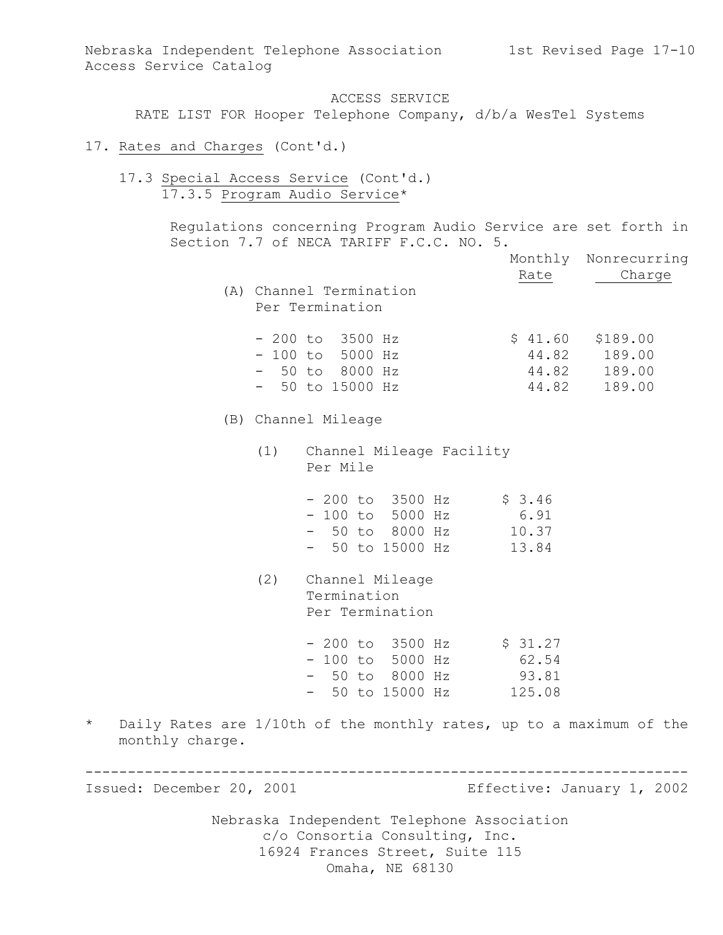ACCESS SERVICE RATE LIST FOR Hooper Telephone Company, d/b/a WesTel Systems

- 17. Rates and Charges (Cont'd.)
	- 17.3 Special Access Service (Cont'd.) 17.3.5 Program Audio Service\*

Regulations concerning Program Audio Service are set forth in Section 7.7 of NECA TARIFF F.C.C. NO. 5.

|                            |                                                                                                                | Rate  | Monthly Nonrecurring<br>Charge                               |
|----------------------------|----------------------------------------------------------------------------------------------------------------|-------|--------------------------------------------------------------|
|                            | (A) Channel Termination<br>Per Termination                                                                     |       |                                                              |
|                            | $-200$ to $3500$ Hz<br>$-100$ to 5000 Hz<br>$-50$ to 8000 Hz<br>$-50$ to 15000 Hz                              | 44.82 | $$41.60$ $$189.00$<br>44.82 189.00<br>44.82 189.00<br>189.00 |
|                            | (B) Channel Mileage                                                                                            |       |                                                              |
|                            | (1) Channel Mileage Facility<br>Per Mile                                                                       |       |                                                              |
|                            | $-200$ to 3500 Hz \$ 3.46<br>$-100$ to 5000 Hz 6.91<br>- 50 to 8000 Hz 10.37<br>- 50 to 15000 Hz               | 13.84 |                                                              |
|                            | (2) Channel Mileage<br>Termination<br>Per Termination                                                          |       |                                                              |
|                            | $-200$ to 3500 Hz $\frac{1}{5}$ 31.27<br>$-100$ to 5000 Hz<br>- 50 to 8000 Hz 93.81<br>- 50 to 15000 Hz 125.08 | 62.54 |                                                              |
| $\star$<br>monthly charge. | Daily Rates are 1/10th of the monthly rates, up to a maximum of the                                            |       |                                                              |

Issued: December 20, 2001 Effective: January 1, 2002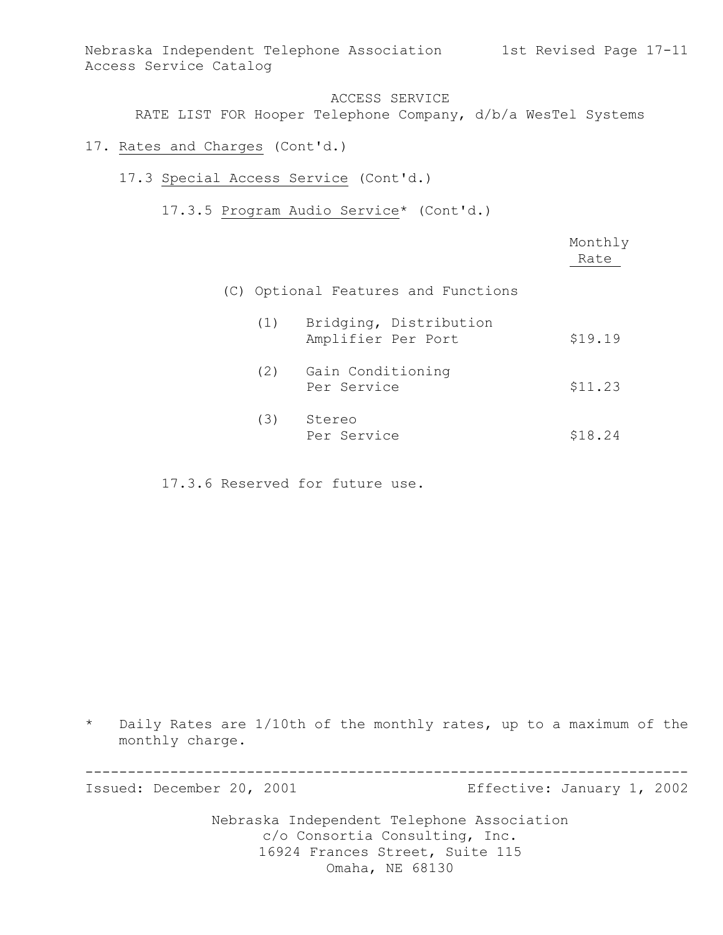Nebraska Independent Telephone Association 1st Revised Page 17-11 Access Service Catalog

### ACCESS SERVICE

RATE LIST FOR Hooper Telephone Company, d/b/a WesTel Systems

- 17. Rates and Charges (Cont'd.)
	- 17.3 Special Access Service (Cont'd.)
		- 17.3.5 Program Audio Service\* (Cont'd.)

|     |                                              | Monthly<br>Rate |
|-----|----------------------------------------------|-----------------|
|     | (C) Optional Features and Functions          |                 |
| (1) | Bridging, Distribution<br>Amplifier Per Port | \$19.19         |
| (2) | Gain Conditioning<br>Per Service             | \$11.23         |
| (3) | Stereo<br>Per Service                        | \$18.24         |

17.3.6 Reserved for future use.

\* Daily Rates are 1/10th of the monthly rates, up to a maximum of the monthly charge.

-----------------------------------------------------------------------

Issued: December 20, 2001 Effective: January 1, 2002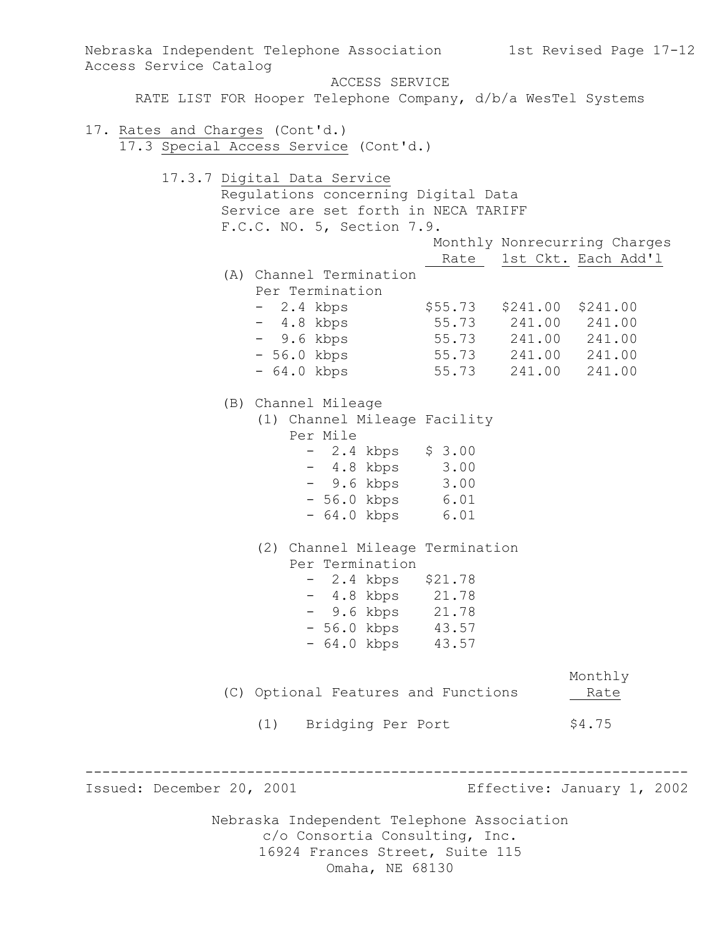Nebraska Independent Telephone Association c/o Consortia Consulting, Inc. 16924 Frances Street, Suite 115 Omaha, NE 68130 Nebraska Independent Telephone Association 1st Revised Page 17-12 Access Service Catalog ACCESS SERVICE RATE LIST FOR Hooper Telephone Company, d/b/a WesTel Systems 17. Rates and Charges (Cont'd.) 17.3 Special Access Service (Cont'd.) 17.3.7 Digital Data Service Regulations concerning Digital Data Service are set forth in NECA TARIFF F.C.C. NO. 5, Section 7.9. Monthly Nonrecurring Charges Rate 1st Ckt. Each Add'l (A) Channel Termination Per Termination - 2.4 kbps \$55.73 \$241.00 \$241.00 - 4.8 kbps 55.73 241.00 241.00 - 9.6 kbps 55.73 241.00 241.00 - 56.0 kbps 55.73 241.00 241.00 - 64.0 kbps 55.73 241.00 241.00 (B) Channel Mileage (1) Channel Mileage Facility Per Mile  $- 2.4$  kbps  $\$ 3.00$ - 4.8 kbps 3.00 - 9.6 kbps 3.00 - 56.0 kbps 6.01 - 64.0 kbps 6.01 (2) Channel Mileage Termination Per Termination - 2.4 kbps \$21.78 - 4.8 kbps 21.78 - 9.6 kbps 21.78 - 56.0 kbps 43.57 - 64.0 kbps 43.57 Monthly (C) Optional Features and Functions 1991 (1) Bridging Per Port \$4.75 ----------------------------------------------------------------------- Issued: December 20, 2001 Effective: January 1, 2002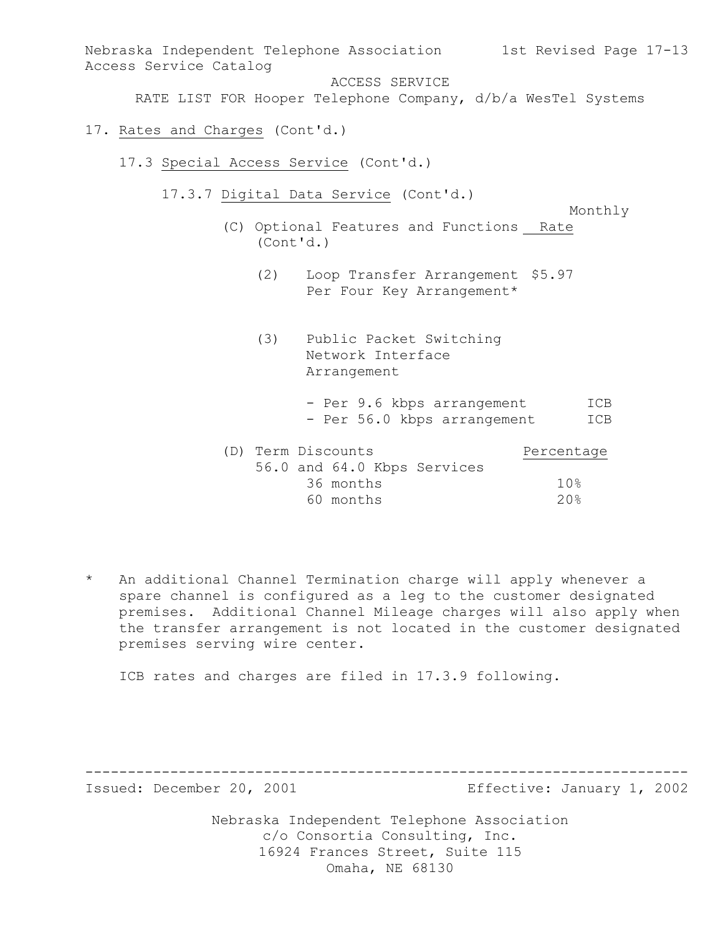Nebraska Independent Telephone Association 1st Revised Page 17-13 Access Service Catalog ACCESS SERVICE RATE LIST FOR Hooper Telephone Company, d/b/a WesTel Systems 17. Rates and Charges (Cont'd.) 17.3 Special Access Service (Cont'd.)

17.3.7 Digital Data Service (Cont'd.)

- (C) Optional Features and Functions Rate (Cont'd.)
	- (2) Loop Transfer Arrangement \$5.97 Per Four Key Arrangement\*
	- (3) Public Packet Switching Network Interface Arrangement
		- Per 9.6 kbps arrangement ICB - Per 56.0 kbps arrangement ICB

Monthly

|  | (D) Term Discounts |           |  | Percentage                  |                 |
|--|--------------------|-----------|--|-----------------------------|-----------------|
|  |                    |           |  | 56.0 and 64.0 Kbps Services |                 |
|  |                    | 36 months |  |                             | 10 <sup>g</sup> |
|  |                    | 60 months |  |                             | 20%             |

\* An additional Channel Termination charge will apply whenever a spare channel is configured as a leg to the customer designated premises. Additional Channel Mileage charges will also apply when the transfer arrangement is not located in the customer designated premises serving wire center.

ICB rates and charges are filed in 17.3.9 following.

----------------------------------------------------------------------- Issued: December 20, 2001 Effective: January 1, 2002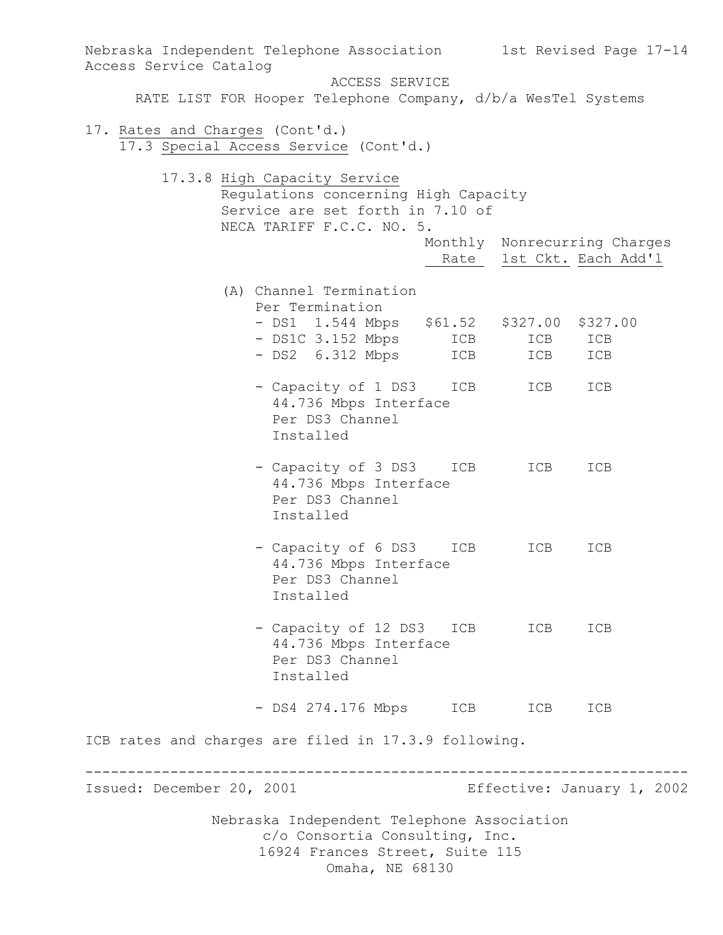Nebraska Independent Telephone Association c/o Consortia Consulting, Inc. 16924 Frances Street, Suite 115 Omaha, NE 68130 Nebraska Independent Telephone Association 1st Revised Page 17-14 Access Service Catalog ACCESS SERVICE RATE LIST FOR Hooper Telephone Company, d/b/a WesTel Systems 17. Rates and Charges (Cont'd.) 17.3 Special Access Service (Cont'd.) 17.3.8 High Capacity Service Regulations concerning High Capacity Service are set forth in 7.10 of NECA TARIFF F.C.C. NO. 5. Monthly Nonrecurring Charges Rate 1st Ckt. Each Add'1 (A) Channel Termination Per Termination - DS1 1.544 Mbps \$61.52 \$327.00 \$327.00 - DS1C 3.152 Mbps ICB ICB ICB - DS2 6.312 Mbps ICB ICB ICB - Capacity of 1 DS3 ICB ICB ICB 44.736 Mbps Interface Per DS3 Channel Installed - Capacity of 3 DS3 ICB ICB ICB 44.736 Mbps Interface Per DS3 Channel Installed - Capacity of 6 DS3 ICB ICB ICB 44.736 Mbps Interface Per DS3 Channel Installed - Capacity of 12 DS3 ICB ICB ICB 44.736 Mbps Interface Per DS3 Channel Installed - DS4 274.176 Mbps ICB ICB ICB ICB rates and charges are filed in 17.3.9 following. ----------------------------------------------------------------------- Issued: December 20, 2001 Effective: January 1, 2002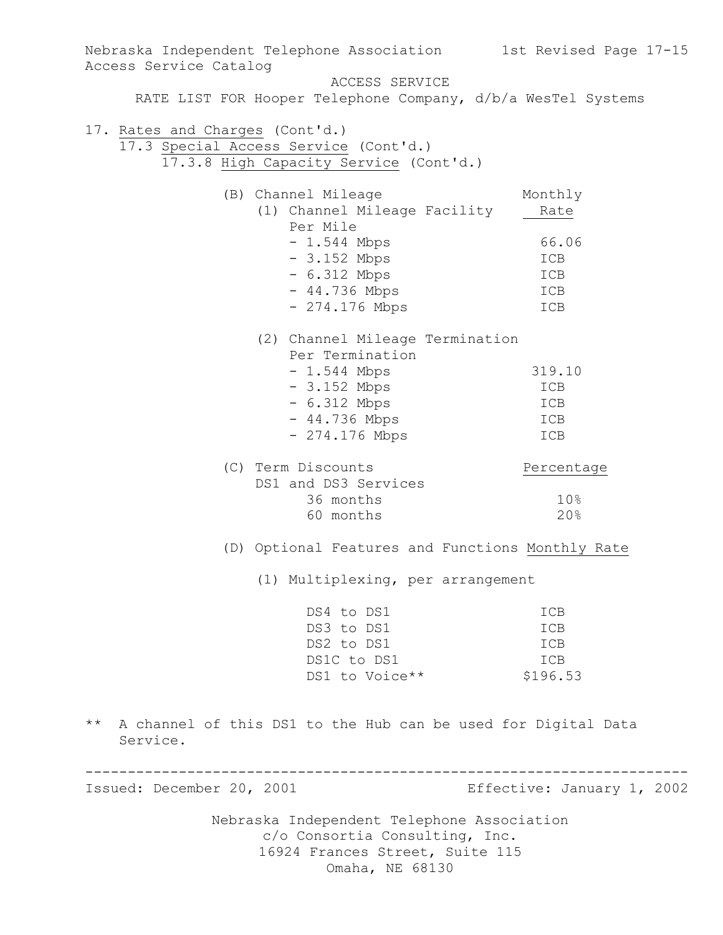Nebraska Independent Telephone Association c/o Consortia Consulting, Inc. 16924 Frances Street, Suite 115 Omaha, NE 68130 Nebraska Independent Telephone Association 1st Revised Page 17-15 Access Service Catalog ACCESS SERVICE RATE LIST FOR Hooper Telephone Company, d/b/a WesTel Systems 17. Rates and Charges (Cont'd.) 17.3 Special Access Service (Cont'd.) 17.3.8 High Capacity Service (Cont'd.) (B) Channel Mileage Monthly (1) Channel Mileage Facility Rate Per Mile - 1.544 Mbps 66.06 - 3.152 Mbps ICB - 6.312 Mbps ICB - 44.736 Mbps ICB - 274.176 Mbps ICB (2) Channel Mileage Termination Per Termination - 1.544 Mbps 319.10 - 3.152 Mbps ICB - 6.312 Mbps ICB - 44.736 Mbps ICB - 274.176 Mbps ICB (C) Term Discounts<br>
DS1 and DS2 Circle 1989 DS1 and DS3 Services 36 months 10% 60 months 20% (D) Optional Features and Functions Monthly Rate (1) Multiplexing, per arrangement DS4 to DS1 ICB DS3 to DS1 ICB DS2 to DS1 ICB DS1C to DS1 ICB  $DS1$  to Voice\*\*  $$196.53$ \*\* A channel of this DS1 to the Hub can be used for Digital Data Service. ----------------------------------------------------------------------- Issued: December 20, 2001 Effective: January 1, 2002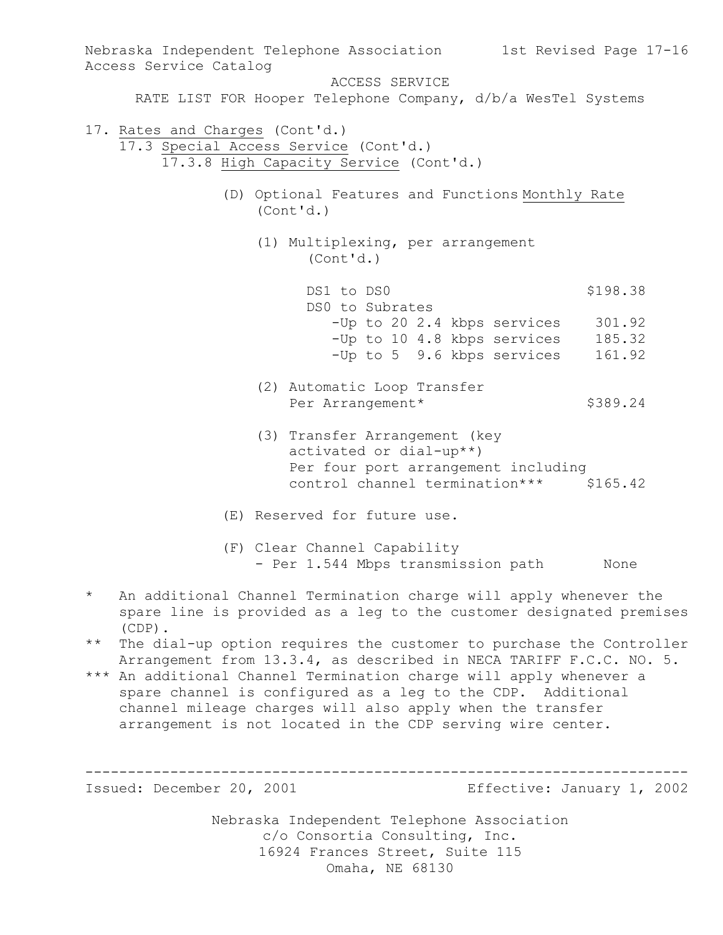Nebraska Independent Telephone Association c/o Consortia Consulting, Inc. Nebraska Independent Telephone Association 1st Revised Page 17-16 Access Service Catalog ACCESS SERVICE RATE LIST FOR Hooper Telephone Company, d/b/a WesTel Systems 17. Rates and Charges (Cont'd.) 17.3 Special Access Service (Cont'd.) 17.3.8 High Capacity Service (Cont'd.) (D) Optional Features and Functions Monthly Rate (Cont'd.) (1) Multiplexing, per arrangement (Cont'd.) DS1 to DS0 \$198.38 DS0 to Subrates -Up to 20 2.4 kbps services 301.92 -Up to 10 4.8 kbps services 185.32 -Up to 5 9.6 kbps services 161.92 (2) Automatic Loop Transfer Per Arrangement\* \$389.24 (3) Transfer Arrangement (key activated or dial-up\*\*) Per four port arrangement including control channel termination\*\*\* \$165.42 (E) Reserved for future use. (F) Clear Channel Capability - Per 1.544 Mbps transmission path None \* An additional Channel Termination charge will apply whenever the spare line is provided as a leg to the customer designated premises (CDP). \*\* The dial-up option requires the customer to purchase the Controller Arrangement from 13.3.4, as described in NECA TARIFF F.C.C. NO. 5. \*\*\* An additional Channel Termination charge will apply whenever a spare channel is configured as a leg to the CDP. Additional channel mileage charges will also apply when the transfer arrangement is not located in the CDP serving wire center. ----------------------------------------------------------------------- Issued: December 20, 2001 Effective: January 1, 2002

> 16924 Frances Street, Suite 115 Omaha, NE 68130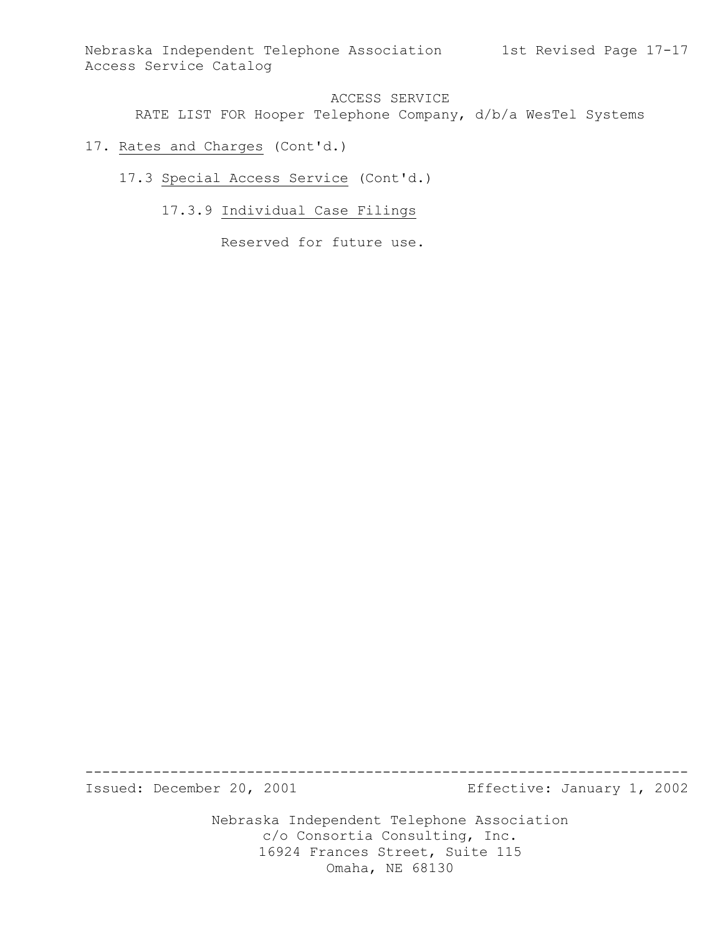Nebraska Independent Telephone Association 1st Revised Page 17-17 Access Service Catalog

## ACCESS SERVICE

RATE LIST FOR Hooper Telephone Company, d/b/a WesTel Systems

- 17. Rates and Charges (Cont'd.)
	- 17.3 Special Access Service (Cont'd.)
		- 17.3.9 Individual Case Filings

Reserved for future use.

Issued: December 20, 2001 Effective: January 1, 2002

Nebraska Independent Telephone Association c/o Consortia Consulting, Inc. 16924 Frances Street, Suite 115 Omaha, NE 68130

-----------------------------------------------------------------------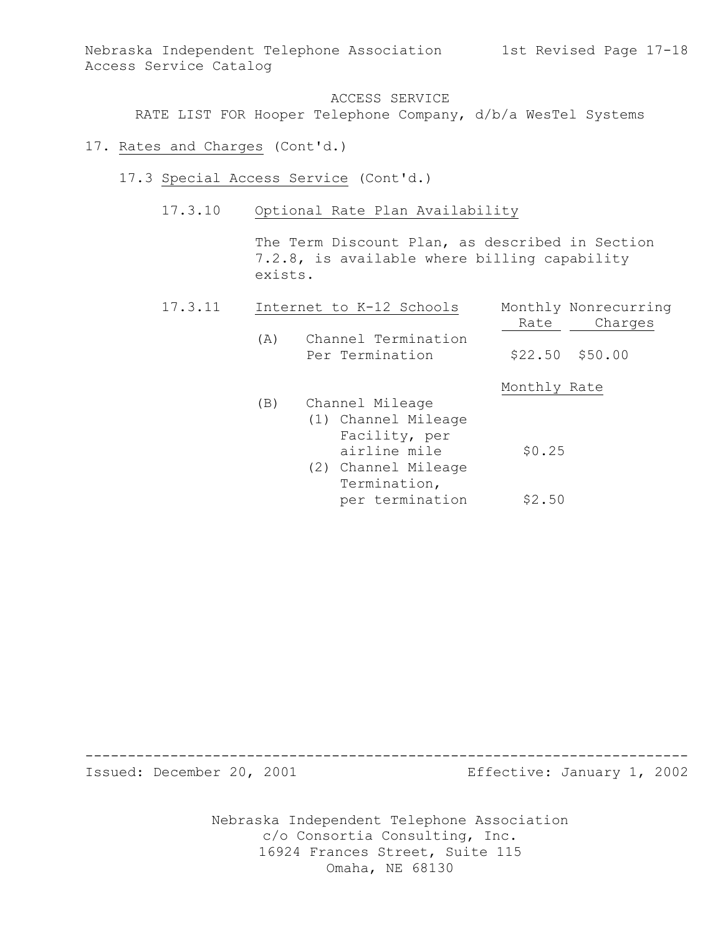RATE LIST FOR Hooper Telephone Company, d/b/a WesTel Systems

- 17. Rates and Charges (Cont'd.)
	- 17.3 Special Access Service (Cont'd.)
		- 17.3.10 Optional Rate Plan Availability

The Term Discount Plan, as described in Section 7.2.8, is available where billing capability exists.

| 17.3.11 |     | Internet to K-12 Schools               | Monthly Nonrecurring |  |
|---------|-----|----------------------------------------|----------------------|--|
|         |     |                                        | Charges<br>Rate      |  |
|         | (A) | Channel Termination<br>Per Termination | $$22.50$ $$50.00$    |  |
|         |     |                                        | Monthly Rate         |  |
|         | (B) | Channel Mileage                        |                      |  |
|         |     | (1) Channel Mileage                    |                      |  |
|         |     | Facility, per                          |                      |  |
|         |     | airline mile                           | \$0.25               |  |
|         |     | (2) Channel Mileage                    |                      |  |
|         |     | Termination,                           |                      |  |
|         |     | per termination                        | \$2.50               |  |

Issued: December 20, 2001 Effective: January 1, 2002

Nebraska Independent Telephone Association c/o Consortia Consulting, Inc. 16924 Frances Street, Suite 115 Omaha, NE 68130

-----------------------------------------------------------------------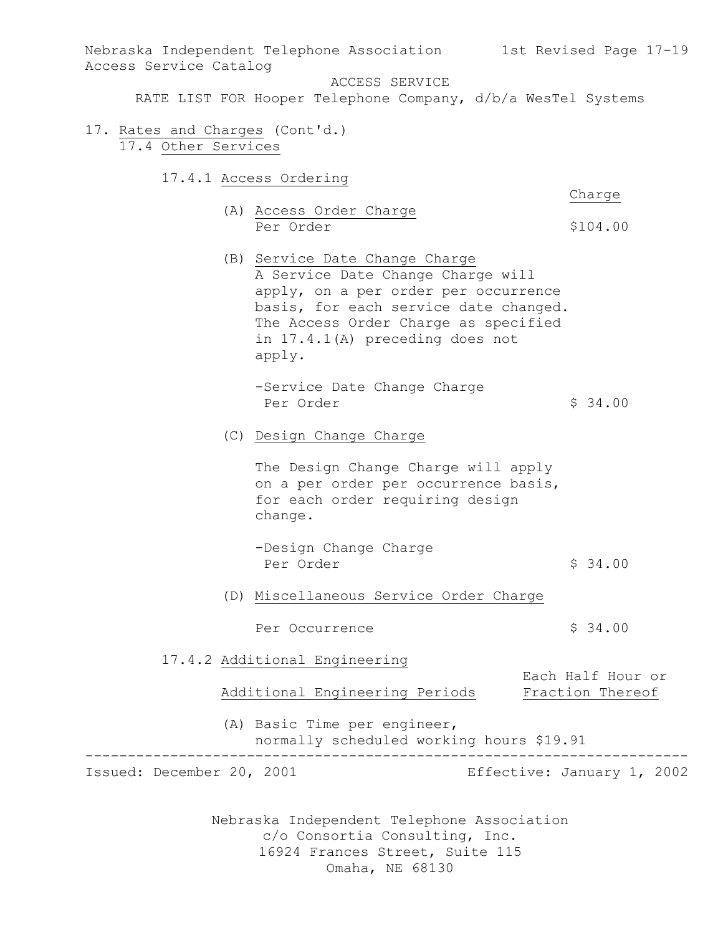Nebraska Independent Telephone Association 1st Revised Page 17-19 Access Service Catalog

ACCESS SERVICE

RATE LIST FOR Hooper Telephone Company, d/b/a WesTel Systems

- 17. Rates and Charges (Cont'd.) 17.4 Other Services
	- 17.4.1 Access Ordering

Charge

- (A) Access Order Charge Per Order  $$104.00$
- (B) Service Date Change Charge A Service Date Change Charge will apply, on a per order per occurrence basis, for each service date changed. The Access Order Charge as specified in 17.4.1(A) preceding does not apply.
	- -Service Date Change Charge Per Order  $\sim$  \$ 34.00
- (C) Design Change Charge

The Design Change Charge will apply on a per order per occurrence basis, for each order requiring design change.

- -Design Change Charge Per Order  $\sim$  \$ 34.00
- (D) Miscellaneous Service Order Charge
	- Per Occurrence  $\frac{1}{2}$  \$ 34.00
- 17.4.2 Additional Engineering Each Half Hour or

| Additional Engineering Periods | Fraction Thereof |
|--------------------------------|------------------|
|                                |                  |

(A) Basic Time per engineer, normally scheduled working hours \$19.91 -----------------------------------------------------------------------

Issued: December 20, 2001 Effective: January 1, 2002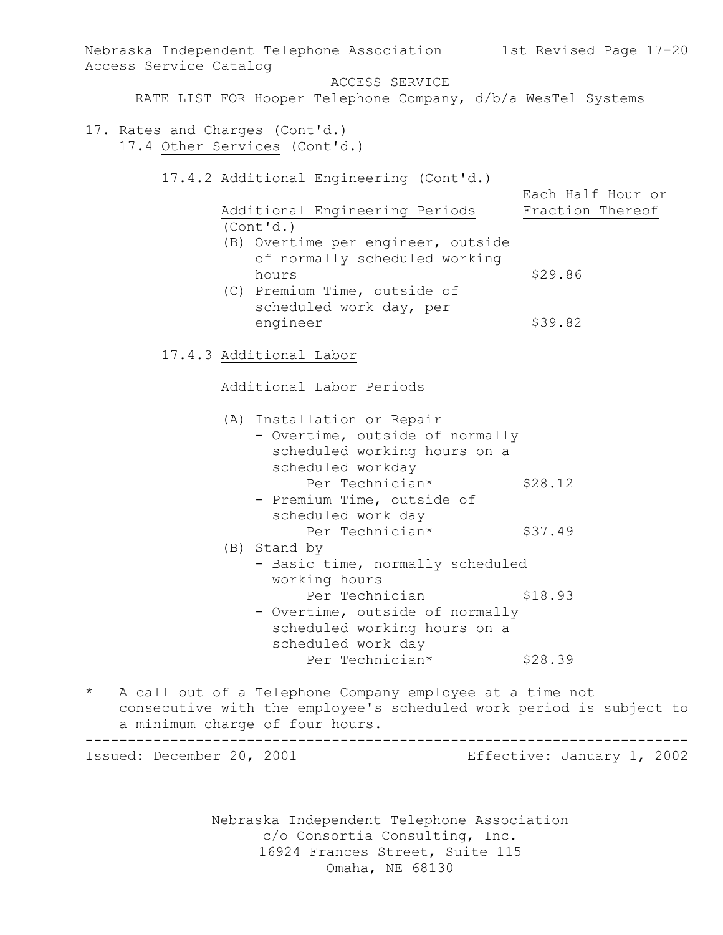Nebraska Independent Telephone Association 1st Revised Page 17-20 Access Service Catalog ACCESS SERVICE RATE LIST FOR Hooper Telephone Company, d/b/a WesTel Systems 17. Rates and Charges (Cont'd.) 17.4 Other Services (Cont'd.) 17.4.2 Additional Engineering (Cont'd.) Each Half Hour or Additional Engineering Periods Fraction Thereof (Cont'd.) (B) Overtime per engineer, outside of normally scheduled working hours \$29.86 (C) Premium Time, outside of scheduled work day, per engineer \$39.82 17.4.3 Additional Labor Additional Labor Periods (A) Installation or Repair - Overtime, outside of normally scheduled working hours on a scheduled workday Per Technician\* \$28.12 - Premium Time, outside of scheduled work day Per Technician\* \$37.49 (B) Stand by - Basic time, normally scheduled working hours Per Technician  $$18.93$ - Overtime, outside of normally scheduled working hours on a scheduled work day Per Technician\* \$28.39

\* A call out of a Telephone Company employee at a time not consecutive with the employee's scheduled work period is subject to a minimum charge of four hours. -----------------------------------------------------------------------

Issued: December 20, 2001 Effective: January 1, 2002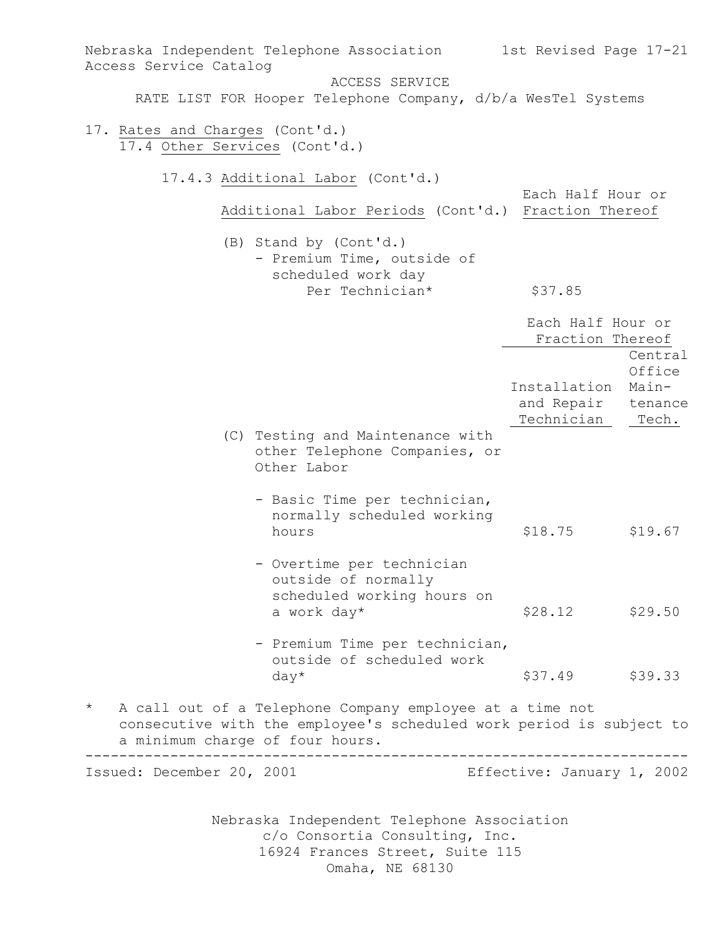Nebraska Independent Telephone Association c/o Consortia Consulting, Inc. 16924 Frances Street, Suite 115 Omaha, NE 68130 Nebraska Independent Telephone Association 1st Revised Page 17-21 Access Service Catalog ACCESS SERVICE RATE LIST FOR Hooper Telephone Company, d/b/a WesTel Systems 17. Rates and Charges (Cont'd.) 17.4 Other Services (Cont'd.) 17.4.3 Additional Labor (Cont'd.) Each Half Hour or Additional Labor Periods (Cont'd.) Fraction Thereof (B) Stand by (Cont'd.) - Premium Time, outside of scheduled work day Per Technician\* \$37.85 Each Half Hour or Fraction Thereof Central **Office** Installation Main and Repair tenance Technician Tech. (C) Testing and Maintenance with other Telephone Companies, or Other Labor - Basic Time per technician, normally scheduled working hours \$18.75 \$19.67 - Overtime per technician outside of normally scheduled working hours on a work day\*  $$28.12$   $$29.50$ - Premium Time per technician, outside of scheduled work  $day*$   $$37.49$   $$39.33$ \* A call out of a Telephone Company employee at a time not consecutive with the employee's scheduled work period is subject to a minimum charge of four hours. ----------------------------------------------------------------------- Issued: December 20, 2001 Effective: January 1, 2002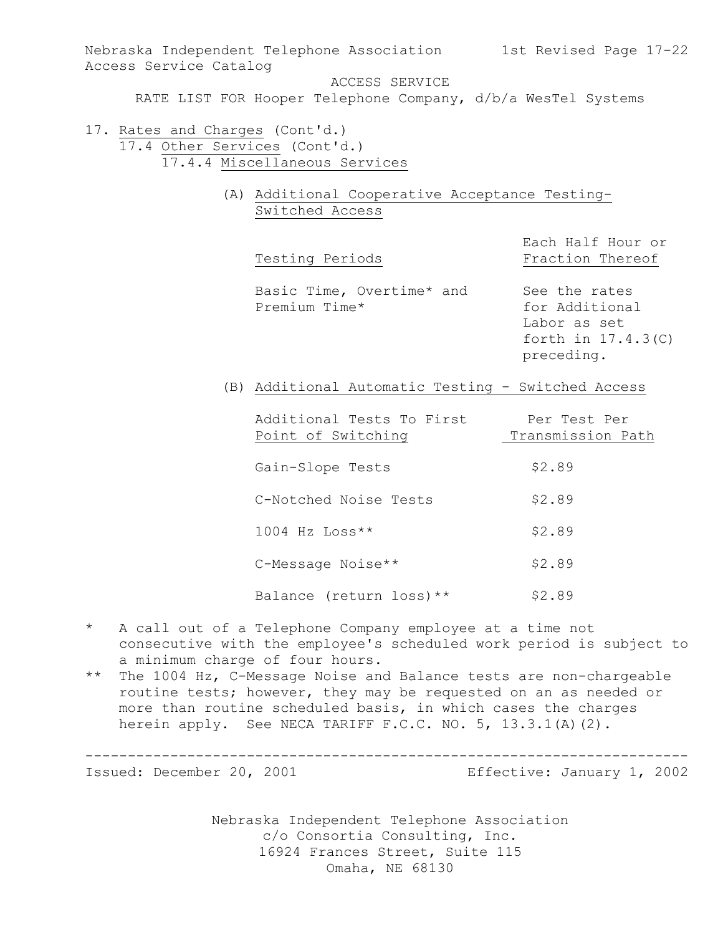Nebraska Independent Telephone Association 1st Revised Page 17-22 Access Service Catalog ACCESS SERVICE

RATE LIST FOR Hooper Telephone Company, d/b/a WesTel Systems

- 17. Rates and Charges (Cont'd.) 17.4 Other Services (Cont'd.) 17.4.4 Miscellaneous Services
	- (A) Additional Cooperative Acceptance Testing-Switched Access

| Testing Periods | Fraction Thereof |  |
|-----------------|------------------|--|
|-----------------|------------------|--|

Each Half Hour or

Basic Time, Overtime\* and See the rates Premium Time\* for Additional

Labor as set forth in 17.4.3(C) preceding.

(B) Additional Automatic Testing - Switched Access

| Additional Tests To First | Per Test Per      |
|---------------------------|-------------------|
| Point of Switching        | Transmission Path |
|                           |                   |
| Gain-Slope Tests          | \$2.89            |
|                           |                   |
| C-Notched Noise Tests     | \$2.89            |
|                           |                   |
| $1004$ Hz Loss**          | \$2.89            |
|                           |                   |
| C-Message Noise**         | \$2.89            |
|                           |                   |
| Balance (return loss) **  | \$2.89            |

- \* A call out of a Telephone Company employee at a time not consecutive with the employee's scheduled work period is subject to a minimum charge of four hours.
- \*\* The 1004 Hz, C-Message Noise and Balance tests are non-chargeable routine tests; however, they may be requested on an as needed or more than routine scheduled basis, in which cases the charges herein apply. See NECA TARIFF F.C.C. NO. 5, 13.3.1(A)(2).

Issued: December 20, 2001 Effective: January 1, 2002

Nebraska Independent Telephone Association c/o Consortia Consulting, Inc. 16924 Frances Street, Suite 115 Omaha, NE 68130

-----------------------------------------------------------------------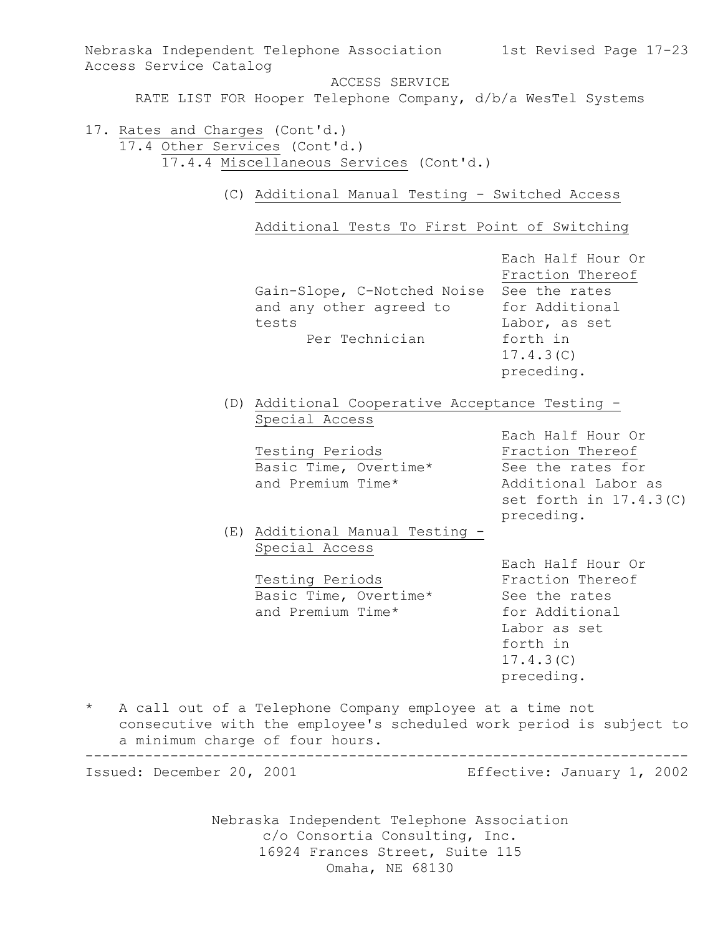Nebraska Independent Telephone Association c/o Consortia Consulting, Inc. Nebraska Independent Telephone Association 1st Revised Page 17-23 Access Service Catalog ACCESS SERVICE RATE LIST FOR Hooper Telephone Company, d/b/a WesTel Systems 17. Rates and Charges (Cont'd.) 17.4 Other Services (Cont'd.) 17.4.4 Miscellaneous Services (Cont'd.) (C) Additional Manual Testing - Switched Access Additional Tests To First Point of Switching Each Half Hour Or Fraction Thereof Gain-Slope, C-Notched Noise See the rates and any other agreed to for Additional tests Labor, as set Per Technician forth in 17.4.3(C) preceding. (D) Additional Cooperative Acceptance Testing - Special Access Each Half Hour Or Testing Periods **Fraction** Thereof Basic Time, Overtime\* See the rates for and Premium Time\* Additional Labor as set forth in 17.4.3(C) preceding. (E) Additional Manual Testing - Special Access Each Half Hour Or Testing Periods **Fraction** Thereof Basic Time, Overtime\* See the rates and Premium Time\* for Additional Labor as set forth in 17.4.3(C) preceding. \* A call out of a Telephone Company employee at a time not consecutive with the employee's scheduled work period is subject to a minimum charge of four hours. ----------------------------------------------------------------------- Issued: December 20, 2001 Effective: January 1, 2002

16924 Frances Street, Suite 115

Omaha, NE 68130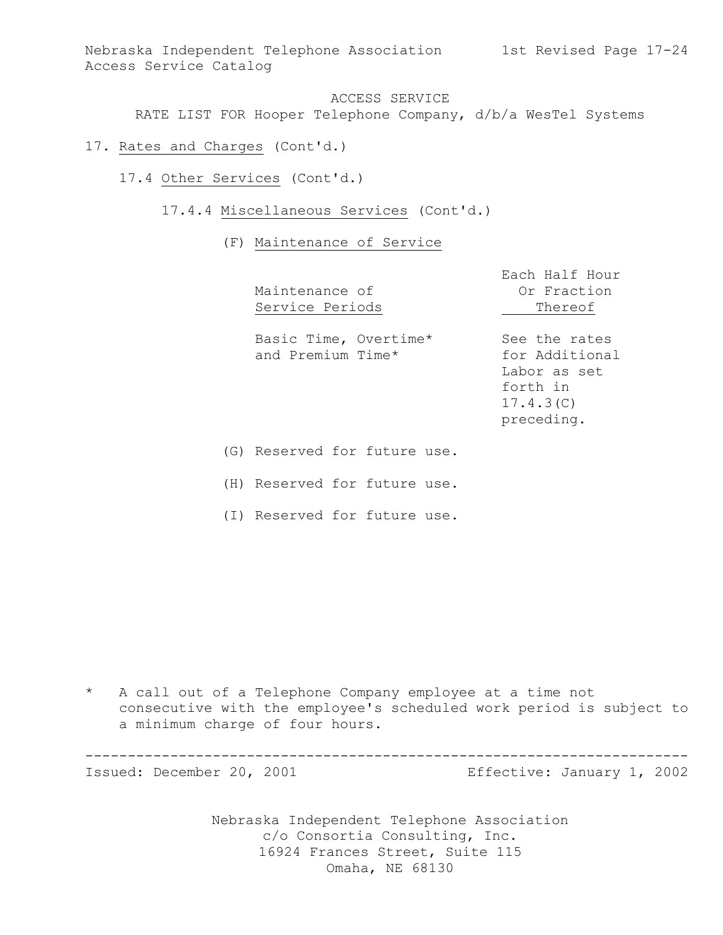Nebraska Independent Telephone Association 1st Revised Page 17-24 Access Service Catalog

ACCESS SERVICE RATE LIST FOR Hooper Telephone Company, d/b/a WesTel Systems

- 17. Rates and Charges (Cont'd.)
	- 17.4 Other Services (Cont'd.)
		- 17.4.4 Miscellaneous Services (Cont'd.)
			- (F) Maintenance of Service

|     | Maintenance of<br>Service Periods          | Each Half Hour<br>Or Fraction<br>Thereof                                               |
|-----|--------------------------------------------|----------------------------------------------------------------------------------------|
|     | Basic Time, Overtime*<br>and Premium Time* | See the rates<br>for Additional<br>Labor as set<br>forth in<br>17.4.3(C)<br>preceding. |
| (G) | Reserved for future use.                   |                                                                                        |

(H) Reserved for future use.

(I) Reserved for future use.

\* A call out of a Telephone Company employee at a time not consecutive with the employee's scheduled work period is subject to a minimum charge of four hours.

-----------------------------------------------------------------------

Issued: December 20, 2001 Effective: January 1, 2002